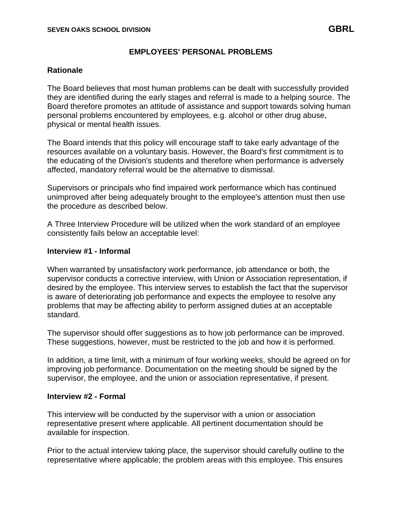# **EMPLOYEES' PERSONAL PROBLEMS**

## **Rationale**

The Board believes that most human problems can be dealt with successfully provided they are identified during the early stages and referral is made to a helping source. The Board therefore promotes an attitude of assistance and support towards solving human personal problems encountered by employees, e.g. alcohol or other drug abuse, physical or mental health issues.

The Board intends that this policy will encourage staff to take early advantage of the resources available on a voluntary basis. However, the Board's first commitment is to the educating of the Division's students and therefore when performance is adversely affected, mandatory referral would be the alternative to dismissal.

Supervisors or principals who find impaired work performance which has continued unimproved after being adequately brought to the employee's attention must then use the procedure as described below.

A Three Interview Procedure will be utilized when the work standard of an employee consistently fails below an acceptable level:

#### **Interview #1 - Informal**

When warranted by unsatisfactory work performance, job attendance or both, the supervisor conducts a corrective interview, with Union or Association representation, if desired by the employee. This interview serves to establish the fact that the supervisor is aware of deteriorating job performance and expects the employee to resolve any problems that may be affecting ability to perform assigned duties at an acceptable standard.

The supervisor should offer suggestions as to how job performance can be improved. These suggestions, however, must be restricted to the job and how it is performed.

In addition, a time limit, with a minimum of four working weeks, should be agreed on for improving job performance. Documentation on the meeting should be signed by the supervisor, the employee, and the union or association representative, if present.

#### **Interview #2 - Formal**

This interview will be conducted by the supervisor with a union or association representative present where applicable. All pertinent documentation should be available for inspection.

Prior to the actual interview taking place, the supervisor should carefully outline to the representative where applicable; the problem areas with this employee. This ensures